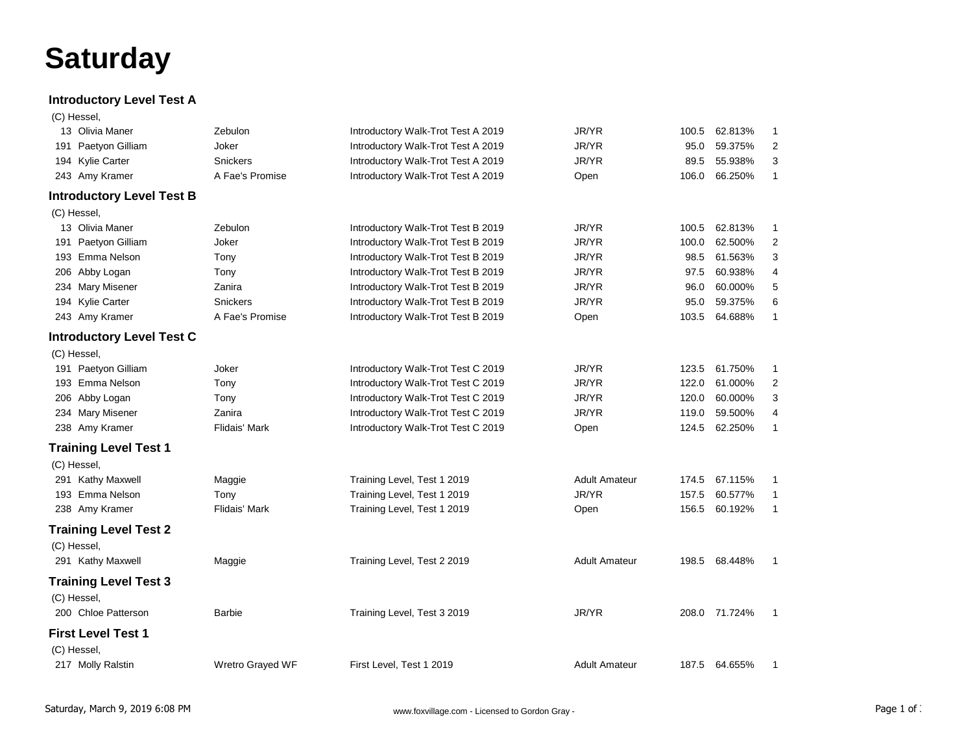## **Saturday**

## **Introductory Level Test A**

| (C) Hessel. |
|-------------|
|             |

| 13 Olivia Maner                  | Zebulon          | Introductory Walk-Trot Test A 2019 | JR/YR                | 100.5 | 62.813%       | 1              |
|----------------------------------|------------------|------------------------------------|----------------------|-------|---------------|----------------|
| 191 Paetyon Gilliam              | Joker            | Introductory Walk-Trot Test A 2019 | JR/YR                | 95.0  | 59.375%       | 2              |
| 194 Kylie Carter                 | Snickers         | Introductory Walk-Trot Test A 2019 | JR/YR                | 89.5  | 55.938%       | 3              |
| 243 Amy Kramer                   | A Fae's Promise  | Introductory Walk-Trot Test A 2019 | Open                 | 106.0 | 66.250%       | $\mathbf{1}$   |
| <b>Introductory Level Test B</b> |                  |                                    |                      |       |               |                |
| (C) Hessel,                      |                  |                                    |                      |       |               |                |
| 13 Olivia Maner                  | Zebulon          | Introductory Walk-Trot Test B 2019 | JR/YR                | 100.5 | 62.813%       | 1              |
| 191 Paetyon Gilliam              | Joker            | Introductory Walk-Trot Test B 2019 | JR/YR                | 100.0 | 62.500%       | $\overline{2}$ |
| 193 Emma Nelson                  | Tony             | Introductory Walk-Trot Test B 2019 | JR/YR                | 98.5  | 61.563%       | 3              |
| 206 Abby Logan                   | Tony             | Introductory Walk-Trot Test B 2019 | JR/YR                | 97.5  | 60.938%       | 4              |
| 234 Mary Misener                 | Zanira           | Introductory Walk-Trot Test B 2019 | JR/YR                | 96.0  | 60.000%       | 5              |
| 194 Kylie Carter                 | <b>Snickers</b>  | Introductory Walk-Trot Test B 2019 | JR/YR                | 95.0  | 59.375%       | 6              |
| 243 Amy Kramer                   | A Fae's Promise  | Introductory Walk-Trot Test B 2019 | Open                 | 103.5 | 64.688%       | 1              |
| <b>Introductory Level Test C</b> |                  |                                    |                      |       |               |                |
| (C) Hessel,                      |                  |                                    |                      |       |               |                |
| 191 Paetyon Gilliam              | Joker            | Introductory Walk-Trot Test C 2019 | JR/YR                | 123.5 | 61.750%       | 1              |
| 193 Emma Nelson                  | Tony             | Introductory Walk-Trot Test C 2019 | JR/YR                | 122.0 | 61.000%       | 2              |
| 206 Abby Logan                   | Tony             | Introductory Walk-Trot Test C 2019 | JR/YR                | 120.0 | 60.000%       | 3              |
| 234 Mary Misener                 | Zanira           | Introductory Walk-Trot Test C 2019 | JR/YR                | 119.0 | 59.500%       | 4              |
| 238 Amy Kramer                   | Flidais' Mark    | Introductory Walk-Trot Test C 2019 | Open                 |       | 124.5 62.250% | $\mathbf{1}$   |
| <b>Training Level Test 1</b>     |                  |                                    |                      |       |               |                |
| (C) Hessel,                      |                  |                                    |                      |       |               |                |
| 291 Kathy Maxwell                | Maggie           | Training Level, Test 1 2019        | <b>Adult Amateur</b> | 174.5 | 67.115%       | 1              |
| 193 Emma Nelson                  | Tony             | Training Level, Test 1 2019        | JR/YR                | 157.5 | 60.577%       | $\mathbf{1}$   |
| 238 Amy Kramer                   | Flidais' Mark    | Training Level, Test 1 2019        | Open                 | 156.5 | 60.192%       | $\mathbf{1}$   |
| <b>Training Level Test 2</b>     |                  |                                    |                      |       |               |                |
| (C) Hessel,                      |                  |                                    |                      |       |               |                |
| 291 Kathy Maxwell                | Maggie           | Training Level, Test 2 2019        | <b>Adult Amateur</b> |       | 198.5 68.448% | -1             |
| <b>Training Level Test 3</b>     |                  |                                    |                      |       |               |                |
| (C) Hessel,                      |                  |                                    |                      |       |               |                |
| 200 Chloe Patterson              | Barbie           | Training Level, Test 3 2019        | JR/YR                |       | 208.0 71.724% | $\mathbf{1}$   |
| <b>First Level Test 1</b>        |                  |                                    |                      |       |               |                |
| (C) Hessel,                      |                  |                                    |                      |       |               |                |
| 217 Molly Ralstin                | Wretro Grayed WF | First Level, Test 1 2019           | <b>Adult Amateur</b> |       | 187.5 64.655% | $\mathbf{1}$   |
|                                  |                  |                                    |                      |       |               |                |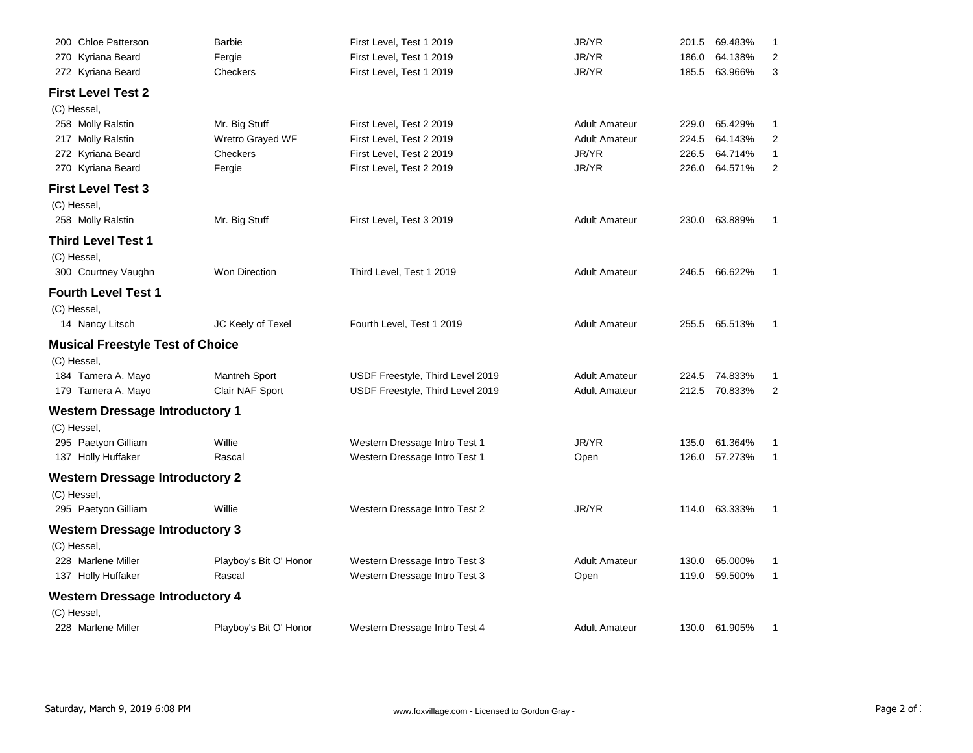| 200 Chloe Patterson                     | <b>Barbie</b>           | First Level, Test 1 2019         | JR/YR                | 201.5 | 69.483%       | -1             |
|-----------------------------------------|-------------------------|----------------------------------|----------------------|-------|---------------|----------------|
| 270 Kyriana Beard                       | Fergie                  | First Level, Test 1 2019         | JR/YR                | 186.0 | 64.138%       | 2              |
| 272 Kyriana Beard                       | Checkers                | First Level, Test 1 2019         | JR/YR                | 185.5 | 63.966%       | 3              |
| <b>First Level Test 2</b>               |                         |                                  |                      |       |               |                |
| (C) Hessel,                             |                         |                                  |                      |       |               |                |
| 258 Molly Ralstin                       | Mr. Big Stuff           | First Level, Test 2 2019         | <b>Adult Amateur</b> | 229.0 | 65.429%       | 1              |
| 217 Molly Ralstin                       | <b>Wretro Grayed WF</b> | First Level, Test 2 2019         | <b>Adult Amateur</b> | 224.5 | 64.143%       | 2              |
| 272 Kyriana Beard                       | Checkers                | First Level, Test 2 2019         | JR/YR                | 226.5 | 64.714%       | 1              |
| 270 Kyriana Beard                       | Fergie                  | First Level, Test 2 2019         | JR/YR                | 226.0 | 64.571%       | 2              |
| <b>First Level Test 3</b>               |                         |                                  |                      |       |               |                |
| (C) Hessel,                             |                         |                                  |                      |       |               |                |
| 258 Molly Ralstin                       | Mr. Big Stuff           | First Level, Test 3 2019         | <b>Adult Amateur</b> | 230.0 | 63.889%       |                |
| <b>Third Level Test 1</b>               |                         |                                  |                      |       |               |                |
| (C) Hessel,                             |                         |                                  |                      |       |               |                |
| 300 Courtney Vaughn                     | <b>Won Direction</b>    | Third Level, Test 1 2019         | <b>Adult Amateur</b> |       | 246.5 66.622% | 1              |
| <b>Fourth Level Test 1</b>              |                         |                                  |                      |       |               |                |
| (C) Hessel,                             |                         |                                  |                      |       |               |                |
| 14 Nancy Litsch                         | JC Keely of Texel       | Fourth Level, Test 1 2019        | <b>Adult Amateur</b> | 255.5 | 65.513%       | 1              |
| <b>Musical Freestyle Test of Choice</b> |                         |                                  |                      |       |               |                |
| (C) Hessel,                             |                         |                                  |                      |       |               |                |
| 184 Tamera A. Mayo                      | Mantreh Sport           | USDF Freestyle, Third Level 2019 | <b>Adult Amateur</b> |       | 224.5 74.833% | 1              |
| 179 Tamera A. Mayo                      | Clair NAF Sport         | USDF Freestyle, Third Level 2019 | <b>Adult Amateur</b> |       | 212.5 70.833% | $\overline{2}$ |
| <b>Western Dressage Introductory 1</b>  |                         |                                  |                      |       |               |                |
| (C) Hessel,                             |                         |                                  |                      |       |               |                |
| 295 Paetyon Gilliam                     | Willie                  | Western Dressage Intro Test 1    | JR/YR                | 135.0 | 61.364%       | 1              |
| 137 Holly Huffaker                      | Rascal                  | Western Dressage Intro Test 1    | Open                 | 126.0 | 57.273%       | $\mathbf{1}$   |
| <b>Western Dressage Introductory 2</b>  |                         |                                  |                      |       |               |                |
| (C) Hessel,                             |                         |                                  |                      |       |               |                |
| 295 Paetyon Gilliam                     | Willie                  | Western Dressage Intro Test 2    | JR/YR                |       | 114.0 63.333% | 1              |
|                                         |                         |                                  |                      |       |               |                |
| <b>Western Dressage Introductory 3</b>  |                         |                                  |                      |       |               |                |
| (C) Hessel,<br>228 Marlene Miller       | Playboy's Bit O' Honor  | Western Dressage Intro Test 3    | <b>Adult Amateur</b> | 130.0 | 65.000%       | 1              |
| 137 Holly Huffaker                      | Rascal                  | Western Dressage Intro Test 3    | Open                 | 119.0 | 59.500%       | 1              |
|                                         |                         |                                  |                      |       |               |                |
| <b>Western Dressage Introductory 4</b>  |                         |                                  |                      |       |               |                |
| (C) Hessel,                             |                         |                                  |                      |       |               |                |
| 228 Marlene Miller                      | Playboy's Bit O' Honor  | Western Dressage Intro Test 4    | <b>Adult Amateur</b> |       | 130.0 61.905% | 1              |